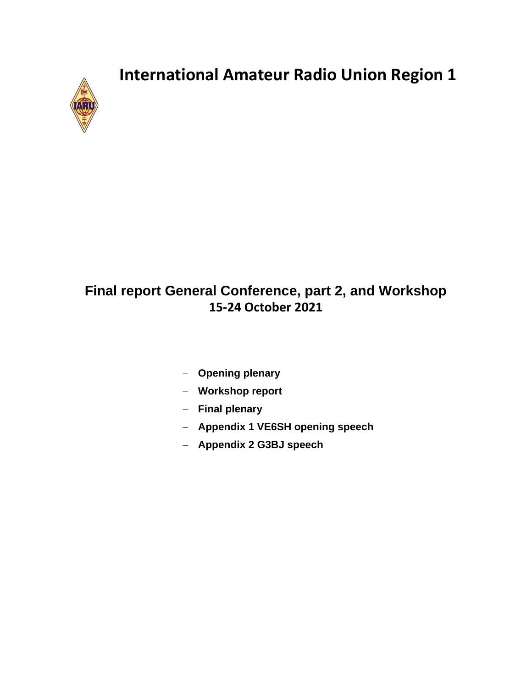

## **Final report General Conference, part 2, and Workshop 15-24 October 2021**

- − **Opening plenary**
- − **Workshop report**
- − **Final plenary**
- − **Appendix 1 VE6SH opening speech**
- − **Appendix 2 G3BJ speech**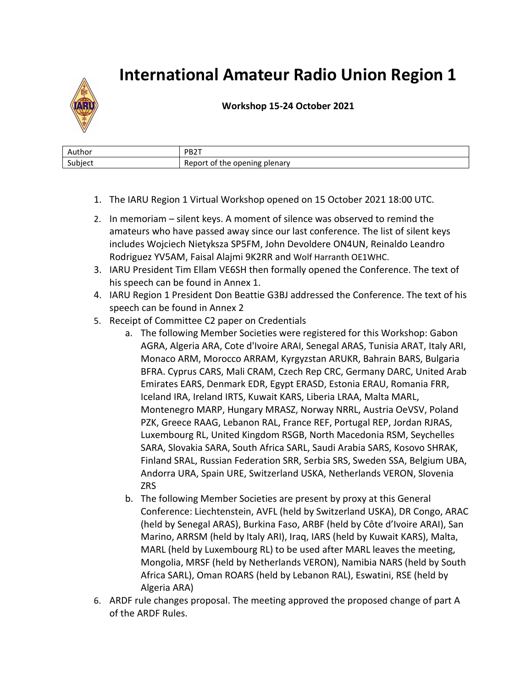

## **Workshop 15-24 October 2021**

| Author                                       | <b>DDOT</b><br>ا ے ت                                       |
|----------------------------------------------|------------------------------------------------------------|
| $\overline{\phantom{0}}$<br>ubiect<br>-<br>- | ening.<br>plenary<br>-- -<br>nne.<br>- -<br>$\sim$<br>TNA. |

- 1. The IARU Region 1 Virtual Workshop opened on 15 October 2021 18:00 UTC.
- 2. In memoriam silent keys. A moment of silence was observed to remind the amateurs who have passed away since our last conference. The list of silent keys includes Wojciech Nietyksza SP5FM, John Devoldere ON4UN, Reinaldo Leandro Rodriguez YV5AM, Faisal Alajmi 9K2RR and Wolf Harranth OE1WHC.
- 3. IARU President Tim Ellam VE6SH then formally opened the Conference. The text of his speech can be found in Annex 1.
- 4. IARU Region 1 President Don Beattie G3BJ addressed the Conference. The text of his speech can be found in Annex 2
- 5. Receipt of Committee C2 paper on Credentials
	- a. The following Member Societies were registered for this Workshop: Gabon AGRA, Algeria ARA, Cote d'Ivoire ARAI, Senegal ARAS, Tunisia ARAT, Italy ARI, Monaco ARM, Morocco ARRAM, Kyrgyzstan ARUKR, Bahrain BARS, Bulgaria BFRA. Cyprus CARS, Mali CRAM, Czech Rep CRC, Germany DARC, United Arab Emirates EARS, Denmark EDR, Egypt ERASD, Estonia ERAU, Romania FRR, Iceland IRA, Ireland IRTS, Kuwait KARS, Liberia LRAA, Malta MARL, Montenegro MARP, Hungary MRASZ, Norway NRRL, Austria OeVSV, Poland PZK, Greece RAAG, Lebanon RAL, France REF, Portugal REP, Jordan RJRAS, Luxembourg RL, United Kingdom RSGB, North Macedonia RSM, Seychelles SARA, Slovakia SARA, South Africa SARL, Saudi Arabia SARS, Kosovo SHRAK, Finland SRAL, Russian Federation SRR, Serbia SRS, Sweden SSA, Belgium UBA, Andorra URA, Spain URE, Switzerland USKA, Netherlands VERON, Slovenia ZRS
	- b. The following Member Societies are present by proxy at this General Conference: Liechtenstein, AVFL (held by Switzerland USKA), DR Congo, ARAC (held by Senegal ARAS), Burkina Faso, ARBF (held by Côte d'Ivoire ARAI), San Marino, ARRSM (held by Italy ARI), Iraq, IARS (held by Kuwait KARS), Malta, MARL (held by Luxembourg RL) to be used after MARL leaves the meeting, Mongolia, MRSF (held by Netherlands VERON), Namibia NARS (held by South Africa SARL), Oman ROARS (held by Lebanon RAL), Eswatini, RSE (held by Algeria ARA)
- 6. ARDF rule changes proposal. The meeting approved the proposed change of part A of the ARDF Rules.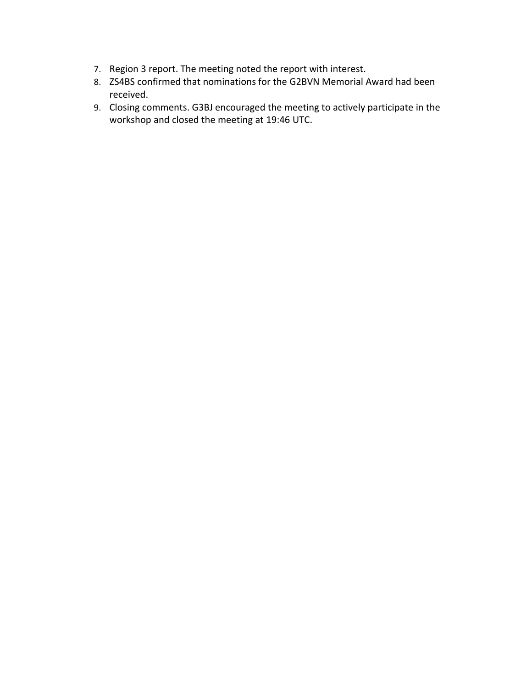- 7. Region 3 report. The meeting noted the report with interest.
- 8. ZS4BS confirmed that nominations for the G2BVN Memorial Award had been received.
- 9. Closing comments. G3BJ encouraged the meeting to actively participate in the workshop and closed the meeting at 19:46 UTC.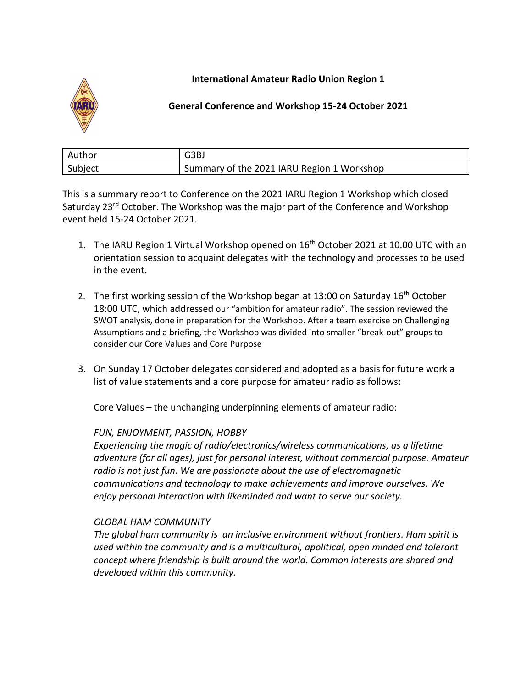

## **General Conference and Workshop 15-24 October 2021**

| Author  | G3BJ                                       |
|---------|--------------------------------------------|
| Subject | Summary of the 2021 IARU Region 1 Workshop |

This is a summary report to Conference on the 2021 IARU Region 1 Workshop which closed Saturday 23<sup>rd</sup> October. The Workshop was the major part of the Conference and Workshop event held 15-24 October 2021.

- 1. The IARU Region 1 Virtual Workshop opened on 16<sup>th</sup> October 2021 at 10.00 UTC with an orientation session to acquaint delegates with the technology and processes to be used in the event.
- 2. The first working session of the Workshop began at 13:00 on Saturday 16<sup>th</sup> October 18:00 UTC, which addressed our "ambition for amateur radio". The session reviewed the SWOT analysis, done in preparation for the Workshop. After a team exercise on Challenging Assumptions and a briefing, the Workshop was divided into smaller "break-out" groups to consider our Core Values and Core Purpose
- 3. On Sunday 17 October delegates considered and adopted as a basis for future work a list of value statements and a core purpose for amateur radio as follows:

Core Values – the unchanging underpinning elements of amateur radio:

## *FUN, ENJOYMENT, PASSION, HOBBY*

*Experiencing the magic of radio/electronics/wireless communications, as a lifetime adventure (for all ages), just for personal interest, without commercial purpose. Amateur radio is not just fun. We are passionate about the use of electromagnetic communications and technology to make achievements and improve ourselves. We enjoy personal interaction with likeminded and want to serve our society.*

## *GLOBAL HAM COMMUNITY*

*The global ham community is an inclusive environment without frontiers. Ham spirit is used within the community and is a multicultural, apolitical, open minded and tolerant concept where friendship is built around the world. Common interests are shared and developed within this community.*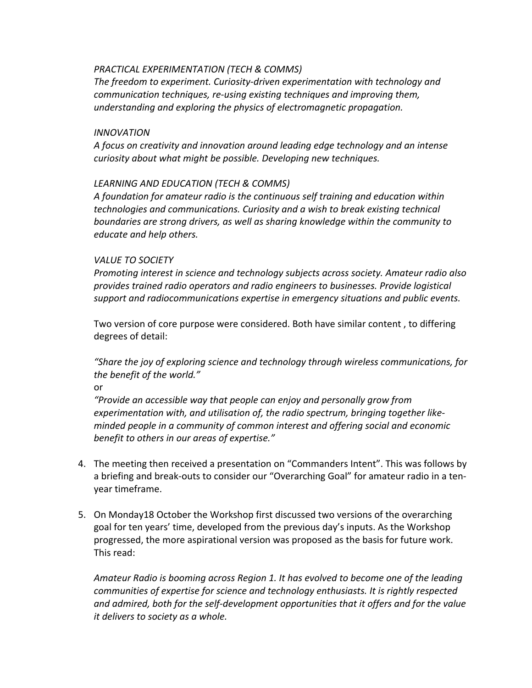#### *PRACTICAL EXPERIMENTATION (TECH & COMMS)*

*The freedom to experiment. Curiosity-driven experimentation with technology and communication techniques, re-using existing techniques and improving them, understanding and exploring the physics of electromagnetic propagation.*

#### *INNOVATION*

*A focus on creativity and innovation around leading edge technology and an intense curiosity about what might be possible. Developing new techniques.*

### *LEARNING AND EDUCATION (TECH & COMMS)*

*A foundation for amateur radio is the continuous self training and education within technologies and communications. Curiosity and a wish to break existing technical boundaries are strong drivers, as well as sharing knowledge within the community to educate and help others.*

#### *VALUE TO SOCIETY*

*Promoting interest in science and technology subjects across society. Amateur radio also provides trained radio operators and radio engineers to businesses. Provide logistical support and radiocommunications expertise in emergency situations and public events.*

Two version of core purpose were considered. Both have similar content , to differing degrees of detail:

*"Share the joy of exploring science and technology through wireless communications, for the benefit of the world."*

or

*"Provide an accessible way that people can enjoy and personally grow from experimentation with, and utilisation of, the radio spectrum, bringing together likeminded people in a community of common interest and offering social and economic benefit to others in our areas of expertise."*

- 4. The meeting then received a presentation on "Commanders Intent". This was follows by a briefing and break-outs to consider our "Overarching Goal" for amateur radio in a tenyear timeframe.
- 5. On Monday18 October the Workshop first discussed two versions of the overarching goal for ten years' time, developed from the previous day's inputs. As the Workshop progressed, the more aspirational version was proposed as the basis for future work. This read:

*Amateur Radio is booming across Region 1. It has evolved to become one of the leading communities of expertise for science and technology enthusiasts. It is rightly respected and admired, both for the self-development opportunities that it offers and for the value it delivers to society as a whole.*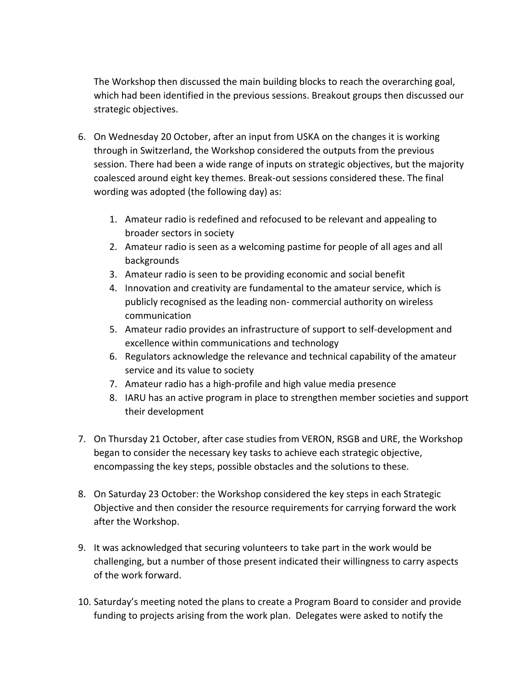The Workshop then discussed the main building blocks to reach the overarching goal, which had been identified in the previous sessions. Breakout groups then discussed our strategic objectives.

- 6. On Wednesday 20 October, after an input from USKA on the changes it is working through in Switzerland, the Workshop considered the outputs from the previous session. There had been a wide range of inputs on strategic objectives, but the majority coalesced around eight key themes. Break-out sessions considered these. The final wording was adopted (the following day) as:
	- 1. Amateur radio is redefined and refocused to be relevant and appealing to broader sectors in society
	- 2. Amateur radio is seen as a welcoming pastime for people of all ages and all backgrounds
	- 3. Amateur radio is seen to be providing economic and social benefit
	- 4. Innovation and creativity are fundamental to the amateur service, which is publicly recognised as the leading non- commercial authority on wireless communication
	- 5. Amateur radio provides an infrastructure of support to self-development and excellence within communications and technology
	- 6. Regulators acknowledge the relevance and technical capability of the amateur service and its value to society
	- 7. Amateur radio has a high-profile and high value media presence
	- 8. IARU has an active program in place to strengthen member societies and support their development
- 7. On Thursday 21 October, after case studies from VERON, RSGB and URE, the Workshop began to consider the necessary key tasks to achieve each strategic objective, encompassing the key steps, possible obstacles and the solutions to these.
- 8. On Saturday 23 October: the Workshop considered the key steps in each Strategic Objective and then consider the resource requirements for carrying forward the work after the Workshop.
- 9. It was acknowledged that securing volunteers to take part in the work would be challenging, but a number of those present indicated their willingness to carry aspects of the work forward.
- 10. Saturday's meeting noted the plans to create a Program Board to consider and provide funding to projects arising from the work plan. Delegates were asked to notify the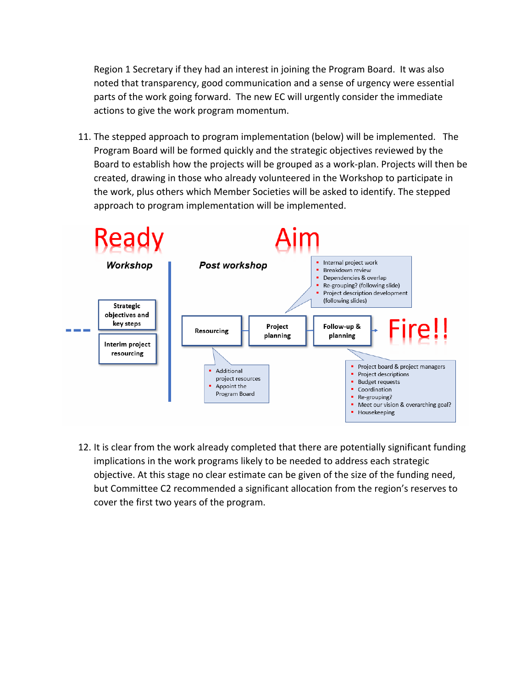Region 1 Secretary if they had an interest in joining the Program Board. It was also noted that transparency, good communication and a sense of urgency were essential parts of the work going forward. The new EC will urgently consider the immediate actions to give the work program momentum.

11. The stepped approach to program implementation (below) will be implemented. The Program Board will be formed quickly and the strategic objectives reviewed by the Board to establish how the projects will be grouped as a work-plan. Projects will then be created, drawing in those who already volunteered in the Workshop to participate in the work, plus others which Member Societies will be asked to identify. The stepped approach to program implementation will be implemented.



12. It is clear from the work already completed that there are potentially significant funding implications in the work programs likely to be needed to address each strategic objective. At this stage no clear estimate can be given of the size of the funding need, but Committee C2 recommended a significant allocation from the region's reserves to cover the first two years of the program.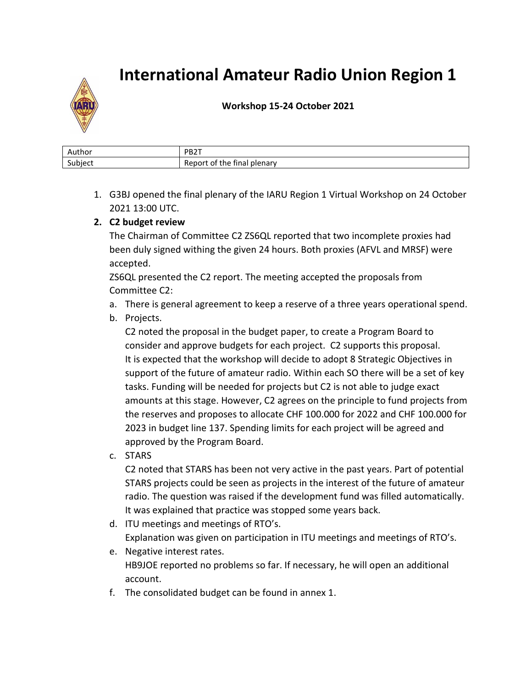

**Workshop 15-24 October 2021**

| Author                              | PB <sub>2</sub> T                                                                 |
|-------------------------------------|-----------------------------------------------------------------------------------|
| $\overline{\phantom{0}}$<br>Subject | .<br>---<br>$1 - 1 - 1$<br>--<br>plenarv<br>rinai<br>ໍ້<br>ne.<br>o<br>זנזנז<br>È |

1. G3BJ opened the final plenary of the IARU Region 1 Virtual Workshop on 24 October 2021 13:00 UTC.

## **2. C2 budget review**

The Chairman of Committee C2 ZS6QL reported that two incomplete proxies had been duly signed withing the given 24 hours. Both proxies (AFVL and MRSF) were accepted.

ZS6QL presented the C2 report. The meeting accepted the proposals from Committee C2:

a. There is general agreement to keep a reserve of a three years operational spend.

## b. Projects.

C2 noted the proposal in the budget paper, to create a Program Board to consider and approve budgets for each project. C2 supports this proposal. It is expected that the workshop will decide to adopt 8 Strategic Objectives in support of the future of amateur radio. Within each SO there will be a set of key tasks. Funding will be needed for projects but C2 is not able to judge exact amounts at this stage. However, C2 agrees on the principle to fund projects from the reserves and proposes to allocate CHF 100.000 for 2022 and CHF 100.000 for 2023 in budget line 137. Spending limits for each project will be agreed and approved by the Program Board.

c. STARS

C2 noted that STARS has been not very active in the past years. Part of potential STARS projects could be seen as projects in the interest of the future of amateur radio. The question was raised if the development fund was filled automatically. It was explained that practice was stopped some years back.

- d. ITU meetings and meetings of RTO's. Explanation was given on participation in ITU meetings and meetings of RTO's.
- e. Negative interest rates. HB9JOE reported no problems so far. If necessary, he will open an additional account.
- f. The consolidated budget can be found in annex 1.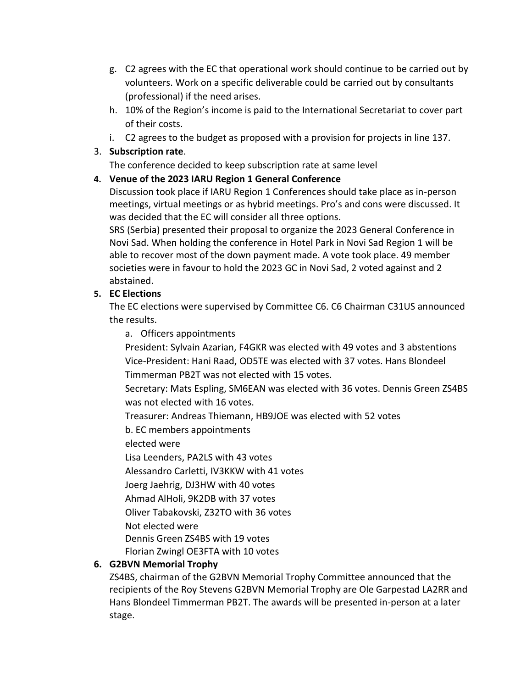- g. C2 agrees with the EC that operational work should continue to be carried out by volunteers. Work on a specific deliverable could be carried out by consultants (professional) if the need arises.
- h. 10% of the Region's income is paid to the International Secretariat to cover part of their costs.
- i. C2 agrees to the budget as proposed with a provision for projects in line 137.

## 3. **Subscription rate**.

The conference decided to keep subscription rate at same level

## **4. Venue of the 2023 IARU Region 1 General Conference**

Discussion took place if IARU Region 1 Conferences should take place as in-person meetings, virtual meetings or as hybrid meetings. Pro's and cons were discussed. It was decided that the EC will consider all three options.

SRS (Serbia) presented their proposal to organize the 2023 General Conference in Novi Sad. When holding the conference in Hotel Park in Novi Sad Region 1 will be able to recover most of the down payment made. A vote took place. 49 member societies were in favour to hold the 2023 GC in Novi Sad, 2 voted against and 2 abstained.

## **5. EC Elections**

The EC elections were supervised by Committee C6. C6 Chairman C31US announced the results.

a. Officers appointments

President: Sylvain Azarian, F4GKR was elected with 49 votes and 3 abstentions Vice-President: Hani Raad, OD5TE was elected with 37 votes. Hans Blondeel Timmerman PB2T was not elected with 15 votes.

Secretary: Mats Espling, SM6EAN was elected with 36 votes. Dennis Green ZS4BS was not elected with 16 votes.

Treasurer: Andreas Thiemann, HB9JOE was elected with 52 votes

b. EC members appointments

elected were

Lisa Leenders, PA2LS with 43 votes

Alessandro Carletti, IV3KKW with 41 votes

Joerg Jaehrig, DJ3HW with 40 votes

Ahmad AlHoli, 9K2DB with 37 votes

Oliver Tabakovski, Z32TO with 36 votes

Not elected were

Dennis Green ZS4BS with 19 votes

Florian Zwingl OE3FTA with 10 votes

## **6. G2BVN Memorial Trophy**

ZS4BS, chairman of the G2BVN Memorial Trophy Committee announced that the recipients of the Roy Stevens G2BVN Memorial Trophy are Ole Garpestad LA2RR and Hans Blondeel Timmerman PB2T. The awards will be presented in-person at a later stage.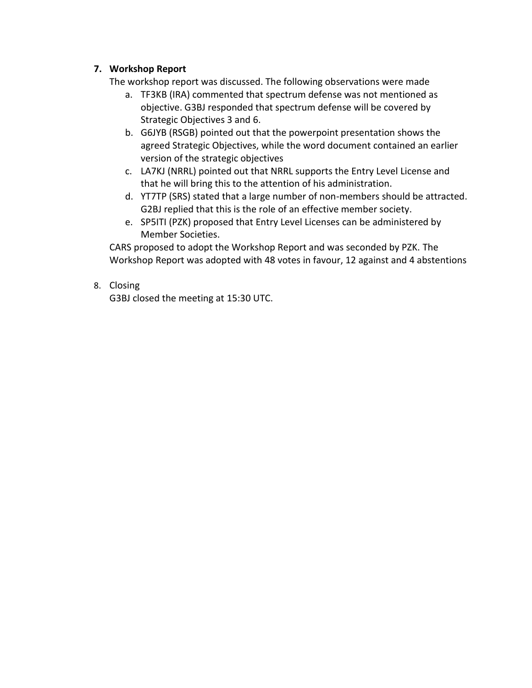## **7. Workshop Report**

The workshop report was discussed. The following observations were made

- a. TF3KB (IRA) commented that spectrum defense was not mentioned as objective. G3BJ responded that spectrum defense will be covered by Strategic Objectives 3 and 6.
- b. G6JYB (RSGB) pointed out that the powerpoint presentation shows the agreed Strategic Objectives, while the word document contained an earlier version of the strategic objectives
- c. LA7KJ (NRRL) pointed out that NRRL supports the Entry Level License and that he will bring this to the attention of his administration.
- d. YT7TP (SRS) stated that a large number of non-members should be attracted. G2BJ replied that this is the role of an effective member society.
- e. SP5ITI (PZK) proposed that Entry Level Licenses can be administered by Member Societies.

CARS proposed to adopt the Workshop Report and was seconded by PZK. The Workshop Report was adopted with 48 votes in favour, 12 against and 4 abstentions

## 8. Closing

G3BJ closed the meeting at 15:30 UTC.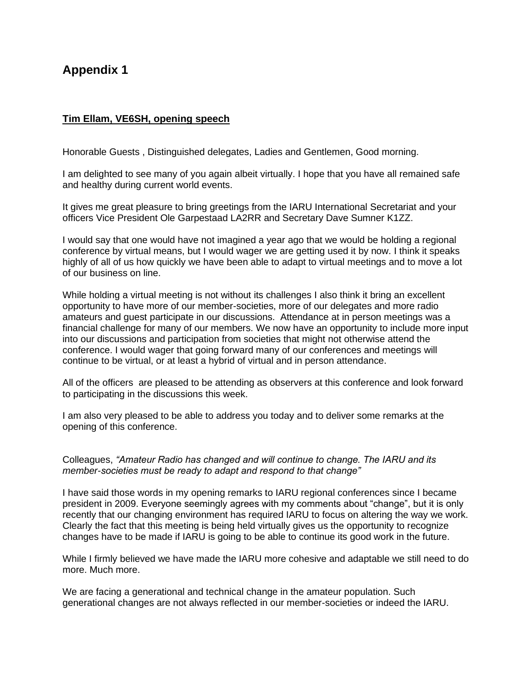## **Appendix 1**

#### **Tim Ellam, VE6SH, opening speech**

Honorable Guests , Distinguished delegates, Ladies and Gentlemen, Good morning.

I am delighted to see many of you again albeit virtually. I hope that you have all remained safe and healthy during current world events.

It gives me great pleasure to bring greetings from the IARU International Secretariat and your officers Vice President Ole Garpestaad LA2RR and Secretary Dave Sumner K1ZZ.

I would say that one would have not imagined a year ago that we would be holding a regional conference by virtual means, but I would wager we are getting used it by now. I think it speaks highly of all of us how quickly we have been able to adapt to virtual meetings and to move a lot of our business on line.

While holding a virtual meeting is not without its challenges I also think it bring an excellent opportunity to have more of our member-societies, more of our delegates and more radio amateurs and guest participate in our discussions. Attendance at in person meetings was a financial challenge for many of our members. We now have an opportunity to include more input into our discussions and participation from societies that might not otherwise attend the conference. I would wager that going forward many of our conferences and meetings will continue to be virtual, or at least a hybrid of virtual and in person attendance.

All of the officers are pleased to be attending as observers at this conference and look forward to participating in the discussions this week.

I am also very pleased to be able to address you today and to deliver some remarks at the opening of this conference.

Colleagues, *"Amateur Radio has changed and will continue to change. The IARU and its member-societies must be ready to adapt and respond to that change"*

I have said those words in my opening remarks to IARU regional conferences since I became president in 2009. Everyone seemingly agrees with my comments about "change", but it is only recently that our changing environment has required IARU to focus on altering the way we work. Clearly the fact that this meeting is being held virtually gives us the opportunity to recognize changes have to be made if IARU is going to be able to continue its good work in the future.

While I firmly believed we have made the IARU more cohesive and adaptable we still need to do more. Much more.

We are facing a generational and technical change in the amateur population. Such generational changes are not always reflected in our member-societies or indeed the IARU.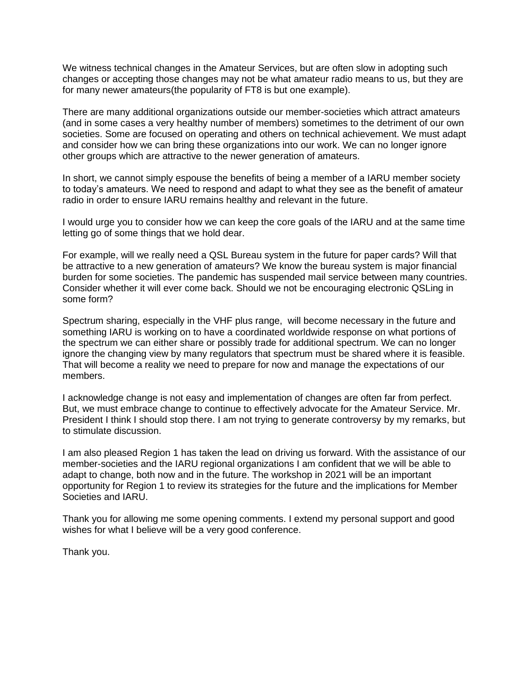We witness technical changes in the Amateur Services, but are often slow in adopting such changes or accepting those changes may not be what amateur radio means to us, but they are for many newer amateurs(the popularity of FT8 is but one example).

There are many additional organizations outside our member-societies which attract amateurs (and in some cases a very healthy number of members) sometimes to the detriment of our own societies. Some are focused on operating and others on technical achievement. We must adapt and consider how we can bring these organizations into our work. We can no longer ignore other groups which are attractive to the newer generation of amateurs.

In short, we cannot simply espouse the benefits of being a member of a IARU member society to today's amateurs. We need to respond and adapt to what they see as the benefit of amateur radio in order to ensure IARU remains healthy and relevant in the future.

I would urge you to consider how we can keep the core goals of the IARU and at the same time letting go of some things that we hold dear.

For example, will we really need a QSL Bureau system in the future for paper cards? Will that be attractive to a new generation of amateurs? We know the bureau system is major financial burden for some societies. The pandemic has suspended mail service between many countries. Consider whether it will ever come back. Should we not be encouraging electronic QSLing in some form?

Spectrum sharing, especially in the VHF plus range, will become necessary in the future and something IARU is working on to have a coordinated worldwide response on what portions of the spectrum we can either share or possibly trade for additional spectrum. We can no longer ignore the changing view by many regulators that spectrum must be shared where it is feasible. That will become a reality we need to prepare for now and manage the expectations of our members.

I acknowledge change is not easy and implementation of changes are often far from perfect. But, we must embrace change to continue to effectively advocate for the Amateur Service. Mr. President I think I should stop there. I am not trying to generate controversy by my remarks, but to stimulate discussion.

I am also pleased Region 1 has taken the lead on driving us forward. With the assistance of our member-societies and the IARU regional organizations I am confident that we will be able to adapt to change, both now and in the future. The workshop in 2021 will be an important opportunity for Region 1 to review its strategies for the future and the implications for Member Societies and IARU.

Thank you for allowing me some opening comments. I extend my personal support and good wishes for what I believe will be a very good conference.

Thank you.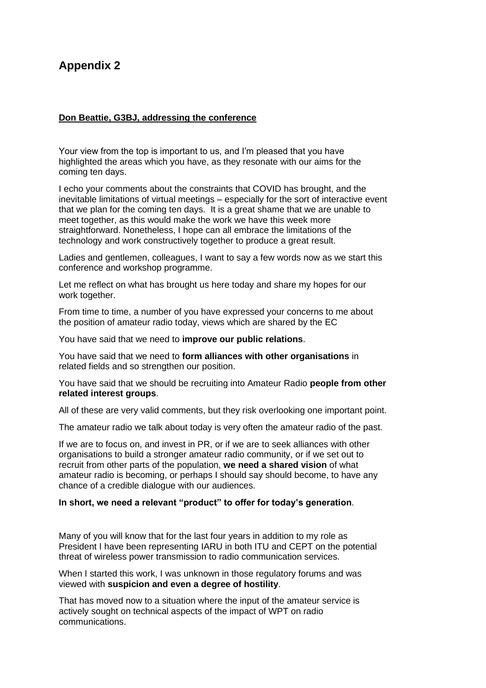## **Appendix 2**

#### **Don Beattie, G3BJ, addressing the conference**

Your view from the top is important to us, and I'm pleased that you have highlighted the areas which you have, as they resonate with our aims for the coming ten days.

I echo your comments about the constraints that COVID has brought, and the inevitable limitations of virtual meetings – especially for the sort of interactive event that we plan for the coming ten days. It is a great shame that we are unable to meet together, as this would make the work we have this week more straightforward. Nonetheless, I hope can all embrace the limitations of the technology and work constructively together to produce a great result.

Ladies and gentlemen, colleagues, I want to say a few words now as we start this conference and workshop programme.

Let me reflect on what has brought us here today and share my hopes for our work together.

From time to time, a number of you have expressed your concerns to me about the position of amateur radio today, views which are shared by the EC

You have said that we need to **improve our public relations**.

You have said that we need to **form alliances with other organisations** in related fields and so strengthen our position.

You have said that we should be recruiting into Amateur Radio **people from other related interest groups**.

All of these are very valid comments, but they risk overlooking one important point.

The amateur radio we talk about today is very often the amateur radio of the past.

If we are to focus on, and invest in PR, or if we are to seek alliances with other organisations to build a stronger amateur radio community, or if we set out to recruit from other parts of the population, **we need a shared vision** of what amateur radio is becoming, or perhaps I should say should become, to have any chance of a credible dialogue with our audiences.

#### **In short, we need a relevant "product" to offer for today's generation**.

Many of you will know that for the last four years in addition to my role as President I have been representing IARU in both ITU and CEPT on the potential threat of wireless power transmission to radio communication services.

When I started this work, I was unknown in those regulatory forums and was viewed with **suspicion and even a degree of hostility**.

That has moved now to a situation where the input of the amateur service is actively sought on technical aspects of the impact of WPT on radio communications.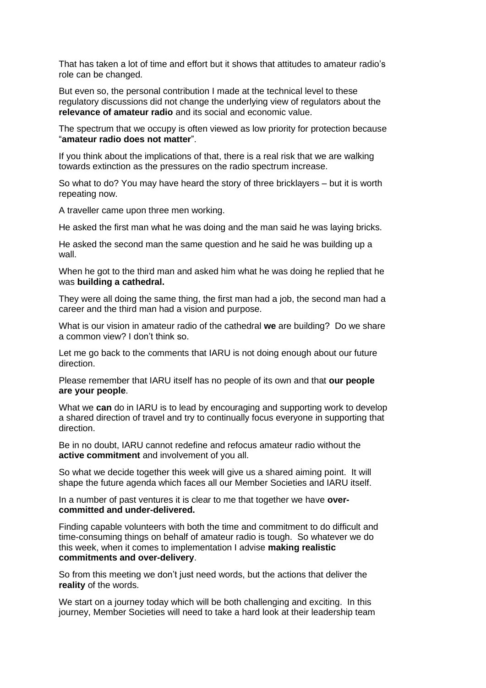That has taken a lot of time and effort but it shows that attitudes to amateur radio's role can be changed.

But even so, the personal contribution I made at the technical level to these regulatory discussions did not change the underlying view of regulators about the **relevance of amateur radio** and its social and economic value.

The spectrum that we occupy is often viewed as low priority for protection because "**amateur radio does not matter**".

If you think about the implications of that, there is a real risk that we are walking towards extinction as the pressures on the radio spectrum increase.

So what to do? You may have heard the story of three bricklayers – but it is worth repeating now.

A traveller came upon three men working.

He asked the first man what he was doing and the man said he was laying bricks.

He asked the second man the same question and he said he was building up a wall.

When he got to the third man and asked him what he was doing he replied that he was **building a cathedral.**

They were all doing the same thing, the first man had a job, the second man had a career and the third man had a vision and purpose.

What is our vision in amateur radio of the cathedral **we** are building? Do we share a common view? I don't think so.

Let me go back to the comments that IARU is not doing enough about our future direction.

Please remember that IARU itself has no people of its own and that **our people are your people**.

What we **can** do in IARU is to lead by encouraging and supporting work to develop a shared direction of travel and try to continually focus everyone in supporting that direction.

Be in no doubt, IARU cannot redefine and refocus amateur radio without the **active commitment** and involvement of you all.

So what we decide together this week will give us a shared aiming point. It will shape the future agenda which faces all our Member Societies and IARU itself.

In a number of past ventures it is clear to me that together we have **overcommitted and under-delivered.**

Finding capable volunteers with both the time and commitment to do difficult and time-consuming things on behalf of amateur radio is tough. So whatever we do this week, when it comes to implementation I advise **making realistic commitments and over-delivery**.

So from this meeting we don't just need words, but the actions that deliver the **reality** of the words.

We start on a journey today which will be both challenging and exciting. In this journey, Member Societies will need to take a hard look at their leadership team